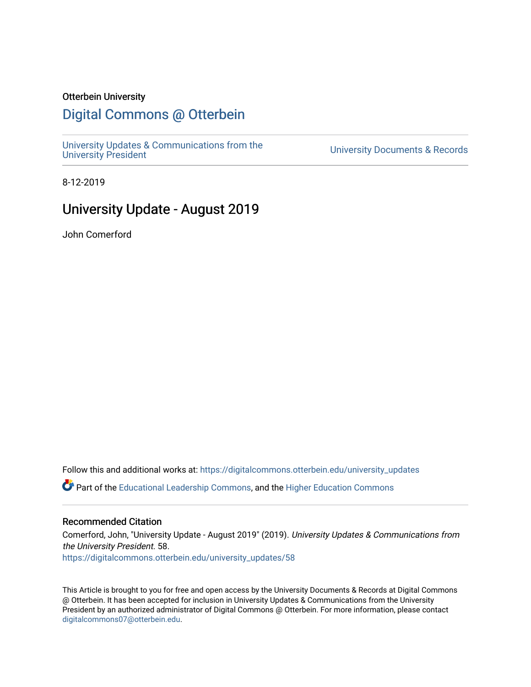## Otterbein University

# [Digital Commons @ Otterbein](https://digitalcommons.otterbein.edu/)

[University Updates & Communications from the](https://digitalcommons.otterbein.edu/university_updates)

University Documents & Records

8-12-2019

# University Update - August 2019

John Comerford

Follow this and additional works at: [https://digitalcommons.otterbein.edu/university\\_updates](https://digitalcommons.otterbein.edu/university_updates?utm_source=digitalcommons.otterbein.edu%2Funiversity_updates%2F58&utm_medium=PDF&utm_campaign=PDFCoverPages) 

Part of the [Educational Leadership Commons,](http://network.bepress.com/hgg/discipline/1230?utm_source=digitalcommons.otterbein.edu%2Funiversity_updates%2F58&utm_medium=PDF&utm_campaign=PDFCoverPages) and the [Higher Education Commons](http://network.bepress.com/hgg/discipline/1245?utm_source=digitalcommons.otterbein.edu%2Funiversity_updates%2F58&utm_medium=PDF&utm_campaign=PDFCoverPages)

## Recommended Citation

Comerford, John, "University Update - August 2019" (2019). University Updates & Communications from the University President. 58. [https://digitalcommons.otterbein.edu/university\\_updates/58](https://digitalcommons.otterbein.edu/university_updates/58?utm_source=digitalcommons.otterbein.edu%2Funiversity_updates%2F58&utm_medium=PDF&utm_campaign=PDFCoverPages)

This Article is brought to you for free and open access by the University Documents & Records at Digital Commons @ Otterbein. It has been accepted for inclusion in University Updates & Communications from the University President by an authorized administrator of Digital Commons @ Otterbein. For more information, please contact [digitalcommons07@otterbein.edu](mailto:digitalcommons07@otterbein.edu).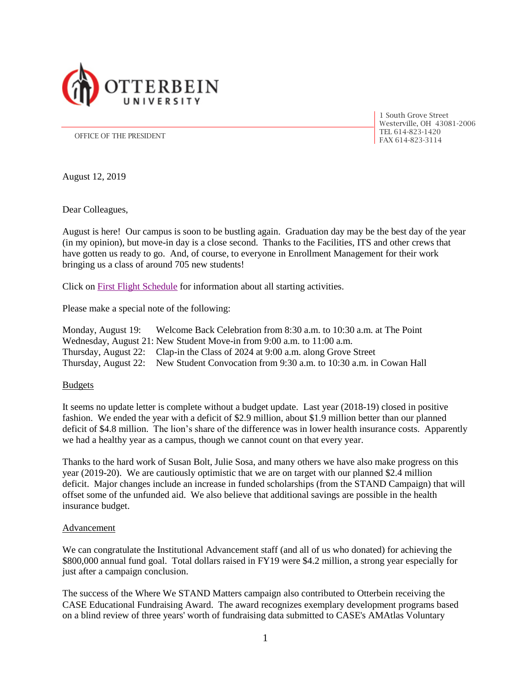

1 South Grove Street Westerville, OH 43081-2006 TEL 614-823-1420

OFFICE OF THE PRESIDENT **FAX 614-823-3114** 

August 12, 2019

Dear Colleagues,

August is here! Our campus is soon to be bustling again. Graduation day may be the best day of the year (in my opinion), but move-in day is a close second. Thanks to the Facilities, ITS and other crews that have gotten us ready to go. And, of course, to everyone in Enrollment Management for their work bringing us a class of around 705 new students!

Click on [First Flight Schedule](https://otterbein.digication.com/center-for-student-involvement/sample-first-flight-schedule) for information about all starting activities.

Please make a special note of the following:

Monday, August 19: Welcome Back Celebration from 8:30 a.m. to 10:30 a.m. at The Point Wednesday, August 21: New Student Move-in from 9:00 a.m. to 11:00 a.m. Thursday, August 22: Clap-in the Class of 2024 at 9:00 a.m. along Grove Street Thursday, August 22: New Student Convocation from 9:30 a.m. to 10:30 a.m. in Cowan Hall

#### **Budgets**

It seems no update letter is complete without a budget update. Last year (2018-19) closed in positive fashion. We ended the year with a deficit of \$2.9 million, about \$1.9 million better than our planned deficit of \$4.8 million. The lion's share of the difference was in lower health insurance costs. Apparently we had a healthy year as a campus, though we cannot count on that every year.

Thanks to the hard work of Susan Bolt, Julie Sosa, and many others we have also make progress on this year (2019-20). We are cautiously optimistic that we are on target with our planned \$2.4 million deficit. Major changes include an increase in funded scholarships (from the STAND Campaign) that will offset some of the unfunded aid. We also believe that additional savings are possible in the health insurance budget.

#### **Advancement**

We can congratulate the Institutional Advancement staff (and all of us who donated) for achieving the \$800,000 annual fund goal. Total dollars raised in FY19 were \$4.2 million, a strong year especially for just after a campaign conclusion.

The success of the Where We STAND Matters campaign also contributed to Otterbein receiving the CASE Educational Fundraising Award. The award recognizes exemplary development programs based on a blind review of three years' worth of fundraising data submitted to CASE's AMAtlas Voluntary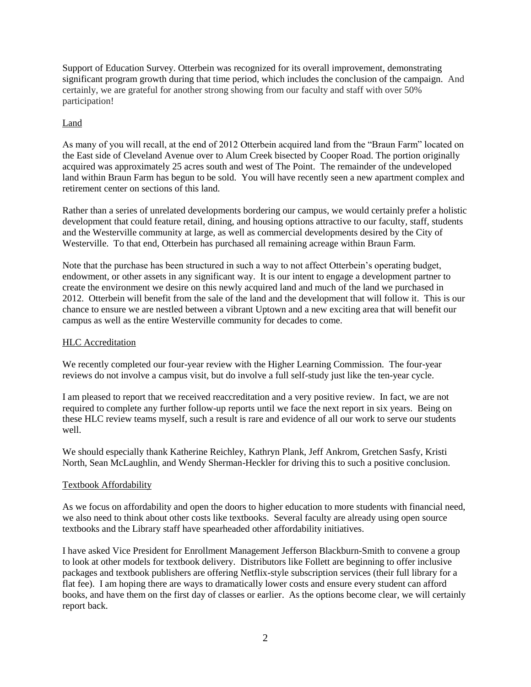Support of Education Survey. Otterbein was recognized for its overall improvement, demonstrating significant program growth during that time period, which includes the conclusion of the campaign. And certainly, we are grateful for another strong showing from our faculty and staff with over 50% participation!

### Land

As many of you will recall, at the end of 2012 Otterbein acquired land from the "Braun Farm" located on the East side of Cleveland Avenue over to Alum Creek bisected by Cooper Road. The portion originally acquired was approximately 25 acres south and west of The Point. The remainder of the undeveloped land within Braun Farm has begun to be sold. You will have recently seen a new apartment complex and retirement center on sections of this land.

Rather than a series of unrelated developments bordering our campus, we would certainly prefer a holistic development that could feature retail, dining, and housing options attractive to our faculty, staff, students and the Westerville community at large, as well as commercial developments desired by the City of Westerville. To that end, Otterbein has purchased all remaining acreage within Braun Farm.

Note that the purchase has been structured in such a way to not affect Otterbein's operating budget, endowment, or other assets in any significant way. It is our intent to engage a development partner to create the environment we desire on this newly acquired land and much of the land we purchased in 2012. Otterbein will benefit from the sale of the land and the development that will follow it. This is our chance to ensure we are nestled between a vibrant Uptown and a new exciting area that will benefit our campus as well as the entire Westerville community for decades to come.

#### HLC Accreditation

We recently completed our four-year review with the Higher Learning Commission. The four-year reviews do not involve a campus visit, but do involve a full self-study just like the ten-year cycle.

I am pleased to report that we received reaccreditation and a very positive review. In fact, we are not required to complete any further follow-up reports until we face the next report in six years. Being on these HLC review teams myself, such a result is rare and evidence of all our work to serve our students well.

We should especially thank Katherine Reichley, Kathryn Plank, Jeff Ankrom, Gretchen Sasfy, Kristi North, Sean McLaughlin, and Wendy Sherman-Heckler for driving this to such a positive conclusion.

#### Textbook Affordability

As we focus on affordability and open the doors to higher education to more students with financial need, we also need to think about other costs like textbooks. Several faculty are already using open source textbooks and the Library staff have spearheaded other affordability initiatives.

I have asked Vice President for Enrollment Management Jefferson Blackburn-Smith to convene a group to look at other models for textbook delivery. Distributors like Follett are beginning to offer inclusive packages and textbook publishers are offering Netflix-style subscription services (their full library for a flat fee). I am hoping there are ways to dramatically lower costs and ensure every student can afford books, and have them on the first day of classes or earlier. As the options become clear, we will certainly report back.